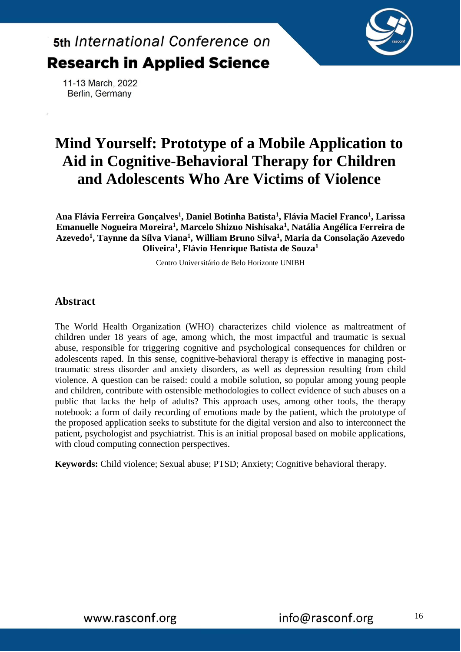

11-13 March, 2022 Berlin, Germany

### **Mind Yourself: Prototype of a Mobile Application to Aid in Cognitive-Behavioral Therapy for Children and Adolescents Who Are Victims of Violence**

**Ana Flávia Ferreira Gonçalves<sup>1</sup> , Daniel Botinha Batista<sup>1</sup> , Flávia Maciel Franco<sup>1</sup> , Larissa Emanuelle Nogueira Moreira<sup>1</sup> , Marcelo Shizuo Nishisaka<sup>1</sup> , Natália Angélica Ferreira de Azevedo<sup>1</sup> , Taynne da Silva Viana<sup>1</sup> , William Bruno Silva<sup>1</sup> , Maria da Consolação Azevedo Oliveira<sup>1</sup> , Flávio Henrique Batista de Souza<sup>1</sup>**

Centro Universitário de Belo Horizonte UNIBH

### **Abstract**

The World Health Organization (WHO) characterizes child violence as maltreatment of children under 18 years of age, among which, the most impactful and traumatic is sexual abuse, responsible for triggering cognitive and psychological consequences for children or adolescents raped. In this sense, cognitive-behavioral therapy is effective in managing posttraumatic stress disorder and anxiety disorders, as well as depression resulting from child violence. A question can be raised: could a mobile solution, so popular among young people and children, contribute with ostensible methodologies to collect evidence of such abuses on a public that lacks the help of adults? This approach uses, among other tools, the therapy notebook: a form of daily recording of emotions made by the patient, which the prototype of the proposed application seeks to substitute for the digital version and also to interconnect the patient, psychologist and psychiatrist. This is an initial proposal based on mobile applications, with cloud computing connection perspectives.

**Keywords:** Child violence; Sexual abuse; PTSD; Anxiety; Cognitive behavioral therapy.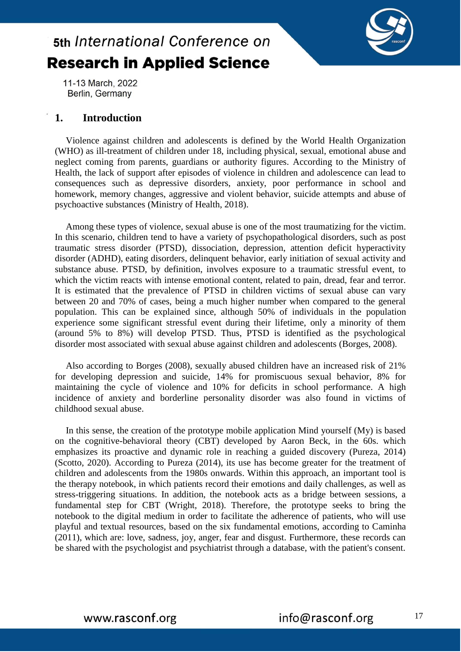

11-13 March, 2022 Berlin, Germany

### **1. Introduction**

Violence against children and adolescents is defined by the World Health Organization (WHO) as ill-treatment of children under 18, including physical, sexual, emotional abuse and neglect coming from parents, guardians or authority figures. According to the Ministry of Health, the lack of support after episodes of violence in children and adolescence can lead to consequences such as depressive disorders, anxiety, poor performance in school and homework, memory changes, aggressive and violent behavior, suicide attempts and abuse of psychoactive substances (Ministry of Health, 2018).

Among these types of violence, sexual abuse is one of the most traumatizing for the victim. In this scenario, children tend to have a variety of psychopathological disorders, such as post traumatic stress disorder (PTSD), dissociation, depression, attention deficit hyperactivity disorder (ADHD), eating disorders, delinquent behavior, early initiation of sexual activity and substance abuse. PTSD, by definition, involves exposure to a traumatic stressful event, to which the victim reacts with intense emotional content, related to pain, dread, fear and terror. It is estimated that the prevalence of PTSD in children victims of sexual abuse can vary between 20 and 70% of cases, being a much higher number when compared to the general population. This can be explained since, although 50% of individuals in the population experience some significant stressful event during their lifetime, only a minority of them (around 5% to 8%) will develop PTSD. Thus, PTSD is identified as the psychological disorder most associated with sexual abuse against children and adolescents (Borges, 2008).

Also according to Borges (2008), sexually abused children have an increased risk of 21% for developing depression and suicide, 14% for promiscuous sexual behavior, 8% for maintaining the cycle of violence and 10% for deficits in school performance. A high incidence of anxiety and borderline personality disorder was also found in victims of childhood sexual abuse.

In this sense, the creation of the prototype mobile application Mind yourself (My) is based on the cognitive-behavioral theory (CBT) developed by Aaron Beck, in the 60s. which emphasizes its proactive and dynamic role in reaching a guided discovery (Pureza, 2014) (Scotto, 2020). According to Pureza (2014), its use has become greater for the treatment of children and adolescents from the 1980s onwards. Within this approach, an important tool is the therapy notebook, in which patients record their emotions and daily challenges, as well as stress-triggering situations. In addition, the notebook acts as a bridge between sessions, a fundamental step for CBT (Wright, 2018). Therefore, the prototype seeks to bring the notebook to the digital medium in order to facilitate the adherence of patients, who will use playful and textual resources, based on the six fundamental emotions, according to Caminha (2011), which are: love, sadness, joy, anger, fear and disgust. Furthermore, these records can be shared with the psychologist and psychiatrist through a database, with the patient's consent.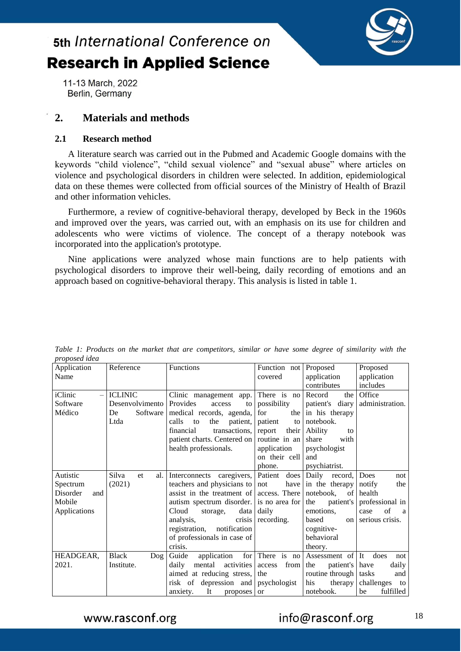

11-13 March, 2022 Berlin, Germany

### **2. Materials and methods**

### **2.1 Research method**

A literature search was carried out in the Pubmed and Academic Google domains with the keywords "child violence", "child sexual violence" and "sexual abuse" where articles on violence and psychological disorders in children were selected. In addition, epidemiological data on these themes were collected from official sources of the Ministry of Health of Brazil and other information vehicles.

Furthermore, a review of cognitive-behavioral therapy, developed by Beck in the 1960s and improved over the years, was carried out, with an emphasis on its use for children and adolescents who were victims of violence. The concept of a therapy notebook was incorporated into the application's prototype.

Nine applications were analyzed whose main functions are to help patients with psychological disorders to improve their well-being, daily recording of emotions and an approach based on cognitive-behavioral therapy. This analysis is listed in table 1.

| proposed idea   |                        |                                             |                 |                         |                  |
|-----------------|------------------------|---------------------------------------------|-----------------|-------------------------|------------------|
| Application     | Reference              | <b>Functions</b>                            | Function not    | Proposed                | Proposed         |
| Name            |                        |                                             | covered         | application             | application      |
|                 |                        |                                             |                 | contributes             | includes         |
| iClinic         | <b>ICLINIC</b>         | Clinic management app.                      | There is no     | Record<br>the           | Office           |
| Software        | Desenvolvimento        | Provides<br>access<br>to                    | possibility     | patient's diary         | administration.  |
| Médico          | Software<br>De         | medical records, agenda,                    | for<br>the      | in his therapy          |                  |
|                 | Ltda                   | calls<br>patient,<br>the<br>to              | patient<br>to   | notebook.               |                  |
|                 |                        | financial<br>transactions, report           | their           | Ability<br>to           |                  |
|                 |                        | patient charts. Centered on   routine in an |                 | share<br>with           |                  |
|                 |                        | health professionals.                       | application     | psychologist            |                  |
|                 |                        |                                             | on their cell   | and                     |                  |
|                 |                        |                                             | phone.          | psychiatrist.           |                  |
| Autistic        | Silva<br>al.<br>et     | Interconnects caregivers, Patient           | does            | Daily record,           | Does<br>not      |
| Spectrum        | (2021)                 | teachers and physicians to not              | have            | in the therapy          | notify<br>the    |
| Disorder<br>and |                        | assist in the treatment of access. There    |                 | notebook.<br>of         | health           |
| Mobile          |                        | autism spectrum disorder. is no area for    |                 | the<br>patient's        | professional in  |
| Applications    |                        | Cloud<br>data<br>storage,                   | daily           | emotions.               | of<br>case<br>a  |
|                 |                        | analysis,<br>crisis                         | recording.      | based<br>on l           | serious crisis.  |
|                 |                        | registration,<br>notification               |                 | cognitive-              |                  |
|                 |                        | of professionals in case of                 |                 | behavioral              |                  |
|                 |                        | crisis.                                     |                 | theory.                 |                  |
| HEADGEAR,       | <b>Black</b><br>$\log$ | Guide<br>application                        | for There is no | Assessment of It        | does<br>not      |
| 2021.           | Institute.             | mental activities<br>daily                  | from<br>access  | patient's have<br>the   | daily            |
|                 |                        | aimed at reducing stress,                   | the             | routine through   tasks | and              |
|                 |                        | risk of depression and psychologist         |                 | his<br>therapy          | challenges<br>to |
|                 |                        | It<br>anxiety.<br>proposes or               |                 | notebook.               | fulfilled<br>be  |

*Table 1: Products on the market that are competitors, similar or have some degree of similarity with the proposed idea*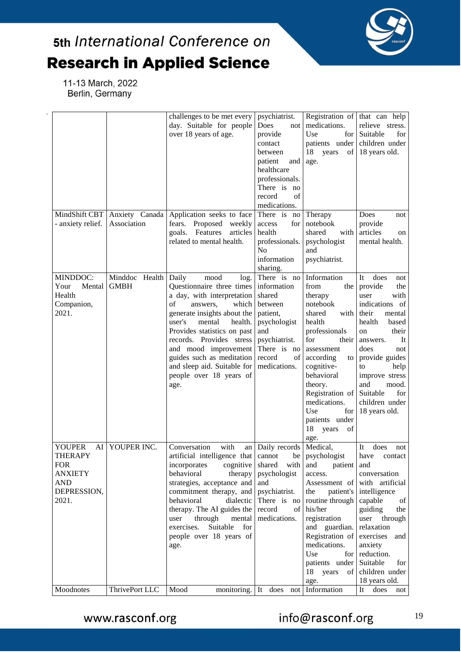

11-13 March, 2022 Berlin, Germany

|                                                                                                             |                               | challenges to be met every<br>day. Suitable for people<br>over 18 years of age.                                                                                                                                                                                                                                                                                     | psychiatrist.<br>Does<br>not<br>provide<br>contact<br>between<br>patient<br>and<br>healthcare<br>professionals.<br>There is no<br>of<br>record<br>medications. | Registration of that can help<br>medications.<br>Use<br>for<br>patients under children under<br>18<br>years<br>age.                                                                                                                                                                    | relieve stress.<br>Suitable<br>for<br>of 18 years old.                                                                                                                                                                                                                              |
|-------------------------------------------------------------------------------------------------------------|-------------------------------|---------------------------------------------------------------------------------------------------------------------------------------------------------------------------------------------------------------------------------------------------------------------------------------------------------------------------------------------------------------------|----------------------------------------------------------------------------------------------------------------------------------------------------------------|----------------------------------------------------------------------------------------------------------------------------------------------------------------------------------------------------------------------------------------------------------------------------------------|-------------------------------------------------------------------------------------------------------------------------------------------------------------------------------------------------------------------------------------------------------------------------------------|
| MindShift CBT<br>- anxiety relief.                                                                          | Anxiety Canada<br>Association | Application seeks to face<br>fears.<br>Proposed weekly<br>goals. Features<br>articles<br>related to mental health.                                                                                                                                                                                                                                                  | There is<br>no<br>access<br>for<br>health<br>professionals.<br>N <sub>o</sub><br>information<br>sharing.                                                       | Therapy<br>notebook<br>shared<br>with<br>psychologist<br>and<br>psychiatrist.                                                                                                                                                                                                          | Does<br>not<br>provide<br>articles<br>on<br>mental health.                                                                                                                                                                                                                          |
| MINDDOC:<br>Your<br>Mental<br>Health<br>Companion,<br>2021.                                                 | Minddoc Health<br><b>GMBH</b> | Daily<br>mood<br>log.<br>Questionnaire three times<br>a day, with interpretation<br>$\sigma$ f<br>which<br>answers.<br>generate insights about the<br>user's<br>mental<br>health.<br>Provides statistics on past<br>records. Provides stress<br>and mood improvement<br>guides such as meditation<br>and sleep aid. Suitable for<br>people over 18 years of<br>age. | There is no<br>information<br>shared<br>between<br>patient,<br>psychologist<br>and<br>psychiatrist.<br>There is<br>no<br>record<br>οf<br>medications.          | Information<br>from<br>the<br>therapy<br>notebook<br>shared<br>with<br>health<br>professionals<br>for<br>their<br>assessment<br>according<br>to<br>cognitive-<br>behavioral<br>theory.<br>Registration of<br>medications.<br>Use<br>for<br>patients under<br>18<br>years<br>of<br>age. | It<br>does<br>not<br>provide<br>the<br>with<br>user<br>indications of<br>their<br>mental<br>health<br>based<br>their<br>on<br>It<br>answers.<br>does<br>not<br>provide guides<br>to<br>help<br>improve stress<br>and<br>mood.<br>Suitable<br>for<br>children under<br>18 years old. |
| <b>YOUPER</b><br>AI<br><b>THERAPY</b><br><b>FOR</b><br><b>ANXIETY</b><br><b>AND</b><br>DEPRESSION,<br>2021. | YOUPER INC.                   | Conversation<br>with<br>artificial intelligence that cannot<br>incorporates<br>behavioral<br>therapy<br>strategies, acceptance and<br>commitment therapy, and<br>behavioral<br>dialectic<br>therapy. The AI guides the<br>through mental<br>user<br>exercises.<br>Suitable<br>for<br>people over 18 years of<br>age.                                                | an   Daily records   Medical,<br>cognitive shared with<br>psychologist<br>and<br>psychiatrist.<br>There is no<br>record<br>medications.                        | be psychologist<br>and<br>patient<br>access.<br>Assessment of with artificial<br>the<br>routine through   capable<br>of his/her<br>registration<br>and guardian.<br>Registration of exercises<br>medications.<br>Use<br>patients under Suitable<br>18 years<br>age.                    | does<br>It<br>not<br>have<br>contact<br>and<br>conversation<br>patient's intelligence<br>of<br>guiding<br>the<br>user through<br>relaxation<br>and<br>anxiety<br>for reduction.<br>for<br>of children under<br>18 years old.                                                        |
| Moodnotes                                                                                                   | ThrivePort LLC                | Mood                                                                                                                                                                                                                                                                                                                                                                | monitoring. It does not Information                                                                                                                            |                                                                                                                                                                                                                                                                                        | It<br>does<br>not                                                                                                                                                                                                                                                                   |

info@rasconf.org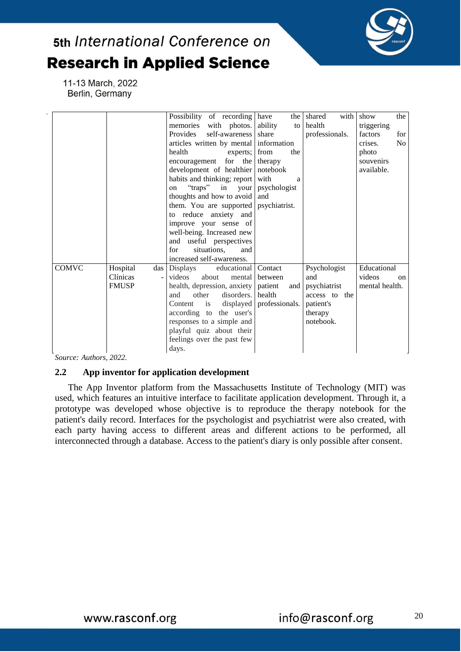

11-13 March, 2022 Berlin, Germany

|              |                 | Possibility of recording have          |                            | the shared<br>with | show<br>the               |
|--------------|-----------------|----------------------------------------|----------------------------|--------------------|---------------------------|
|              |                 | memories with photos.                  | ability<br>to              | health             | triggering                |
|              |                 | self-awareness<br>Provides             | share                      | professionals.     | factors<br>for            |
|              |                 | articles written by mental information |                            |                    | N <sub>o</sub><br>crises. |
|              |                 | health<br>experts;                     | from<br>the                |                    | photo                     |
|              |                 | encouragement for the therapy          |                            |                    | souvenirs                 |
|              |                 | development of healthier notebook      |                            |                    | available.                |
|              |                 | habits and thinking; report            | with<br>a                  |                    |                           |
|              |                 | "traps" in your<br>on                  | psychologist               |                    |                           |
|              |                 | thoughts and how to avoid              | and                        |                    |                           |
|              |                 | them. You are supported psychiatrist.  |                            |                    |                           |
|              |                 | to reduce anxiety and                  |                            |                    |                           |
|              |                 | improve your sense of                  |                            |                    |                           |
|              |                 | well-being. Increased new              |                            |                    |                           |
|              |                 | and useful perspectives                |                            |                    |                           |
|              |                 | for<br>situations,<br>and              |                            |                    |                           |
|              |                 | increased self-awareness.              |                            |                    |                           |
| <b>COMVC</b> | Hospital<br>das | educational Contact<br>Displays        |                            | Psychologist       | Educational               |
|              | Clínicas        | videos<br>about<br>mental              | between                    | and                | videos<br>on              |
|              | <b>FMUSP</b>    | health, depression, anxiety            | patient<br>and             | psychiatrist       | mental health.            |
|              |                 | disorders. health<br>and<br>other      |                            | access to the      |                           |
|              |                 | Content is                             | displayed   professionals. | patient's          |                           |
|              |                 | according to the user's                |                            | therapy            |                           |
|              |                 | responses to a simple and              |                            | notebook.          |                           |
|              |                 | playful quiz about their               |                            |                    |                           |
|              |                 | feelings over the past few             |                            |                    |                           |
|              |                 | days.                                  |                            |                    |                           |

*Source: Authors, 2022.*

### **2.2 App inventor for application development**

The App Inventor platform from the Massachusetts Institute of Technology (MIT) was used, which features an intuitive interface to facilitate application development. Through it, a prototype was developed whose objective is to reproduce the therapy notebook for the patient's daily record. Interfaces for the psychologist and psychiatrist were also created, with each party having access to different areas and different actions to be performed, all interconnected through a database. Access to the patient's diary is only possible after consent.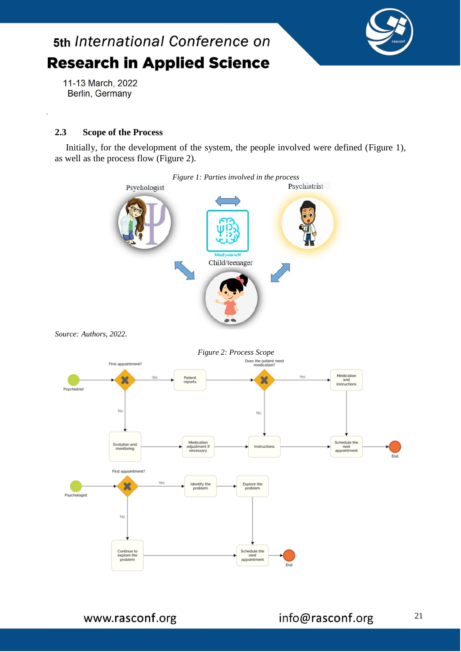

11-13 March, 2022 Berlin, Germany

### **2.3 Scope of the Process**

Initially, for the development of the system, the people involved were defined (Figure 1), as well as the process flow (Figure 2).

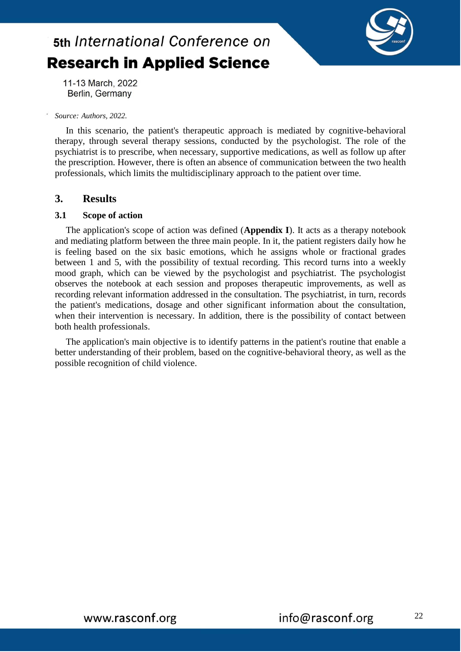

11-13 March, 2022 Berlin, Germany

#### *Source: Authors, 2022.*

In this scenario, the patient's therapeutic approach is mediated by cognitive-behavioral therapy, through several therapy sessions, conducted by the psychologist. The role of the psychiatrist is to prescribe, when necessary, supportive medications, as well as follow up after the prescription. However, there is often an absence of communication between the two health professionals, which limits the multidisciplinary approach to the patient over time.

### **3. Results**

#### **3.1 Scope of action**

The application's scope of action was defined (**Appendix I**). It acts as a therapy notebook and mediating platform between the three main people. In it, the patient registers daily how he is feeling based on the six basic emotions, which he assigns whole or fractional grades between 1 and 5, with the possibility of textual recording. This record turns into a weekly mood graph, which can be viewed by the psychologist and psychiatrist. The psychologist observes the notebook at each session and proposes therapeutic improvements, as well as recording relevant information addressed in the consultation. The psychiatrist, in turn, records the patient's medications, dosage and other significant information about the consultation, when their intervention is necessary. In addition, there is the possibility of contact between both health professionals.

The application's main objective is to identify patterns in the patient's routine that enable a better understanding of their problem, based on the cognitive-behavioral theory, as well as the possible recognition of child violence.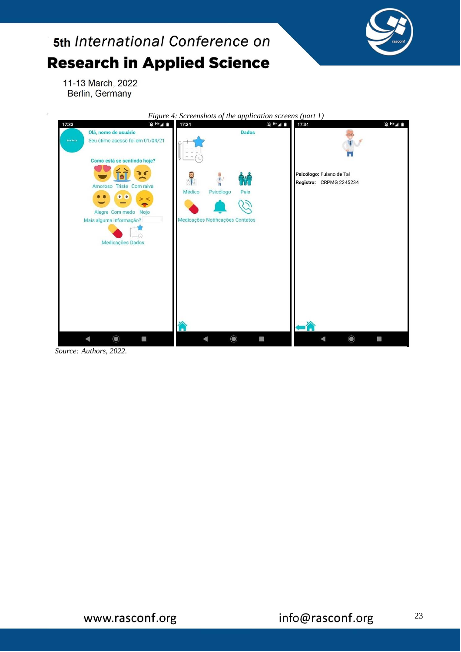

11-13 March, 2022 Berlin, Germany

 $\overline{\phantom{a}}$ 



*Source: Authors, 2022.*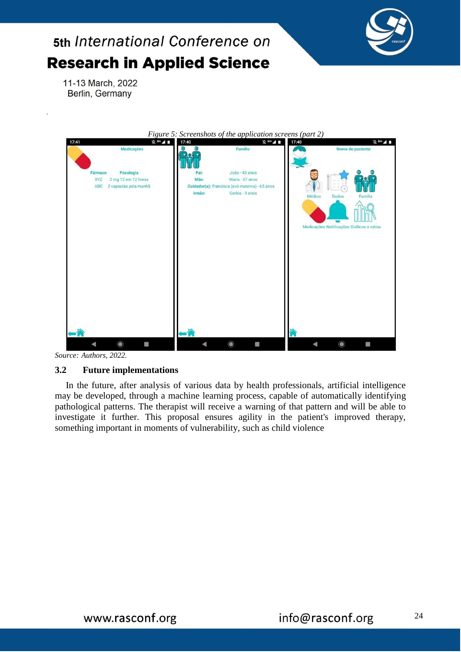

11-13 March, 2022 Berlin, Germany

|                                                                                           | Figure 5: Screenshots of the application screens (part 2)                                                                        |                                                                                |
|-------------------------------------------------------------------------------------------|----------------------------------------------------------------------------------------------------------------------------------|--------------------------------------------------------------------------------|
| $\frac{1}{2}$<br>17:41<br>Medicações                                                      | $\frac{1}{2}$<br>17:40<br>Família                                                                                                | 17:40<br>$\frac{1}{2}$ H+ $\frac{1}{2}$<br>Nome do paciente                    |
| Posologia<br>Fármaco<br>2 mg 12 em 12 horas<br><b>XYZ</b><br>2 capsulas pela manhã<br>ABC | João - 43 anos<br>Pai:<br>Maria - 37 anos<br>Mãe:<br>Cuidador(a): Francisca (avó materna) - 65 anos<br>Irmão:<br>Carlos - 5 anos | Médico<br><b>Dados</b><br>Família<br>Medicações Notificações Gráficos e rotina |
| $\circledcirc$<br>B                                                                       | $\odot$                                                                                                                          | $\bullet$<br>國                                                                 |

*Source: Authors, 2022.*

### **3.2 Future implementations**

In the future, after analysis of various data by health professionals, artificial intelligence may be developed, through a machine learning process, capable of automatically identifying pathological patterns. The therapist will receive a warning of that pattern and will be able to investigate it further. This proposal ensures agility in the patient's improved therapy, something important in moments of vulnerability, such as child violence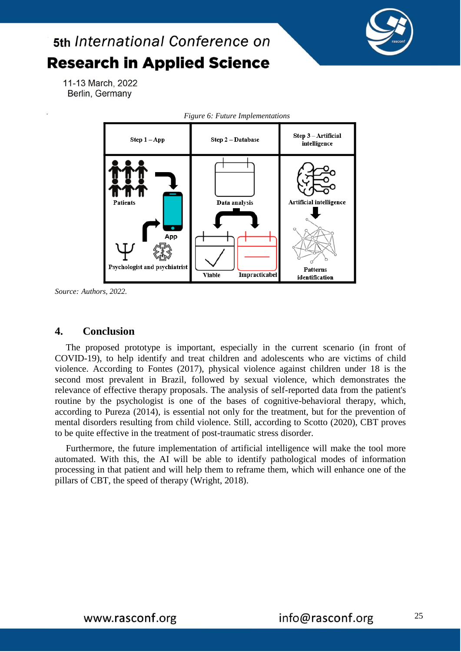

11-13 March, 2022 Berlin, Germany



*Source: Authors, 2022.*

### **4. Conclusion**

The proposed prototype is important, especially in the current scenario (in front of COVID-19), to help identify and treat children and adolescents who are victims of child violence. According to Fontes (2017), physical violence against children under 18 is the second most prevalent in Brazil, followed by sexual violence, which demonstrates the relevance of effective therapy proposals. The analysis of self-reported data from the patient's routine by the psychologist is one of the bases of cognitive-behavioral therapy, which, according to Pureza (2014), is essential not only for the treatment, but for the prevention of mental disorders resulting from child violence. Still, according to Scotto (2020), CBT proves to be quite effective in the treatment of post-traumatic stress disorder.

Furthermore, the future implementation of artificial intelligence will make the tool more automated. With this, the AI will be able to identify pathological modes of information processing in that patient and will help them to reframe them, which will enhance one of the pillars of CBT, the speed of therapy (Wright, 2018).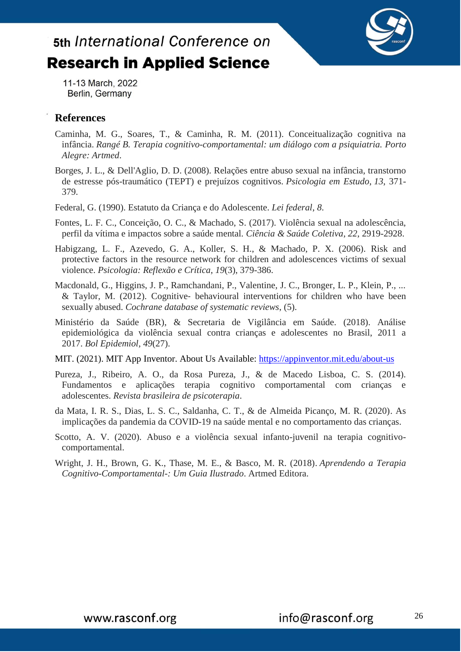

11-13 March, 2022 Berlin, Germany

### **References**

- Caminha, M. G., Soares, T., & Caminha, R. M. (2011). Conceitualização cognitiva na infância. *Rangé B. Terapia cognitivo-comportamental: um diálogo com a psiquiatria. Porto Alegre: Artmed*.
- Borges, J. L., & Dell'Aglio, D. D. (2008). Relações entre abuso sexual na infância, transtorno de estresse pós-traumático (TEPT) e prejuízos cognitivos. *Psicologia em Estudo*, *13*, 371- 379.
- Federal, G. (1990). Estatuto da Criança e do Adolescente. *Lei federal*, *8*.
- Fontes, L. F. C., Conceição, O. C., & Machado, S. (2017). Violência sexual na adolescência, perfil da vítima e impactos sobre a saúde mental. *Ciência & Saúde Coletiva*, *22*, 2919-2928.
- Habigzang, L. F., Azevedo, G. A., Koller, S. H., & Machado, P. X. (2006). Risk and protective factors in the resource network for children and adolescences victims of sexual violence. *Psicologia: Reflexão e Crítica*, *19*(3), 379-386.
- Macdonald, G., Higgins, J. P., Ramchandani, P., Valentine, J. C., Bronger, L. P., Klein, P., ... & Taylor, M. (2012). Cognitive‐ behavioural interventions for children who have been sexually abused. *Cochrane database of systematic reviews*, (5).
- Ministério da Saúde (BR), & Secretaria de Vigilância em Saúde. (2018). Análise epidemiológica da violência sexual contra crianças e adolescentes no Brasil, 2011 a 2017. *Bol Epidemiol*, *49*(27).
- MIT. (2021). MIT App Inventor. About Us Available:<https://appinventor.mit.edu/about-us>
- Pureza, J., Ribeiro, A. O., da Rosa Pureza, J., & de Macedo Lisboa, C. S. (2014). Fundamentos e aplicações terapia cognitivo comportamental com crianças e adolescentes. *Revista brasileira de psicoterapia*.
- da Mata, I. R. S., Dias, L. S. C., Saldanha, C. T., & de Almeida Picanço, M. R. (2020). As implicações da pandemia da COVID-19 na saúde mental e no comportamento das crianças.
- Scotto, A. V. (2020). Abuso e a violência sexual infanto-juvenil na terapia cognitivocomportamental.
- Wright, J. H., Brown, G. K., Thase, M. E., & Basco, M. R. (2018). *Aprendendo a Terapia Cognitivo-Comportamental-: Um Guia Ilustrado*. Artmed Editora.